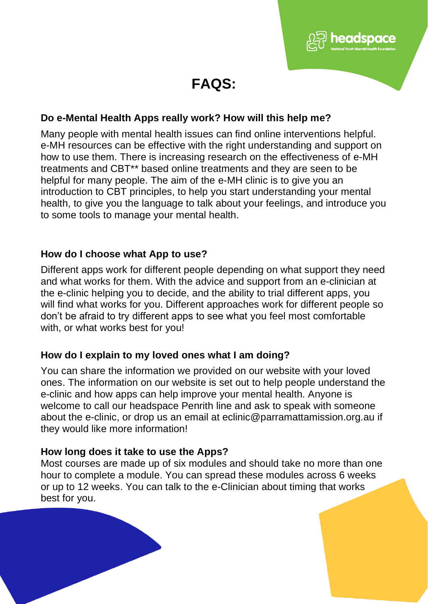

adspace

# **Do e-Mental Health Apps really work? How will this help me?**

Many people with mental health issues can find online interventions helpful. e-MH resources can be effective with the right understanding and support on how to use them. There is increasing research on the effectiveness of e-MH treatments and CBT\*\* based online treatments and they are seen to be helpful for many people. The aim of the e-MH clinic is to give you an introduction to CBT principles, to help you start understanding your mental health, to give you the language to talk about your feelings, and introduce you to some tools to manage your mental health.

### **How do I choose what App to use?**

Different apps work for different people depending on what support they need and what works for them. With the advice and support from an e-clinician at the e-clinic helping you to decide, and the ability to trial different apps, you will find what works for you. Different approaches work for different people so don't be afraid to try different apps to see what you feel most comfortable with, or what works best for you!

## **How do I explain to my loved ones what I am doing?**

You can share the information we provided on our website with your loved ones. The information on our website is set out to help people understand the e-clinic and how apps can help improve your mental health. Anyone is welcome to call our headspace Penrith line and ask to speak with someone about the e-clinic, or drop us an email at eclinic@parramattamission.org.au if they would like more information!

### **How long does it take to use the Apps?**

Most courses are made up of six modules and should take no more than one hour to complete a module. You can spread these modules across 6 weeks or up to 12 weeks. You can talk to the e-Clinician about timing that works best for you.